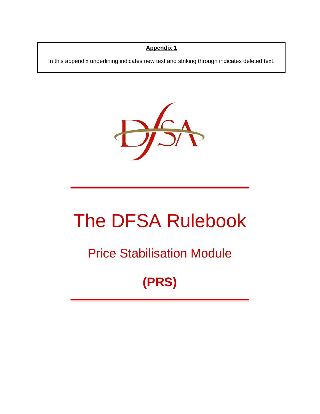# **Appendix 1**

In this appendix underlining indicates new text and striking through indicates deleted text.



# The DFSA Rulebook

# Price Stabilisation Module

**(PRS)**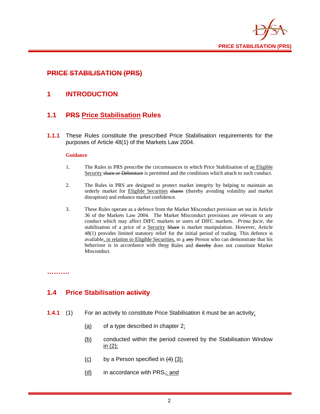

# **PRICE STABILISATION (PRS)**

# **1 INTRODUCTION**

# **1.1 PRS Price Stabilisation Rules**

**1.1.1** These Rules constitute the prescribed Price Stabilisation requirements for the purposes of Article 48(1) of the Markets Law 2004.

#### **Guidance**

- 1. The Rules in PRS prescribe the circumstances in which Price Stabilisation of an Eligible Security share or Debenture is permitted and the conditions which attach to such conduct.
- 2. The Rules in PRS are designed to protect market integrity by helping to maintain an orderly market for Eligible Securities shares (thereby avoiding volatility and market disruption) and enhance market confidence.
- 3. These Rules operate as a defence from the Market Misconduct provision set out in Article 36 of the Markets Law 2004. The Market Misconduct provisions are relevant to any conduct which may affect DIFC markets or users of DIFC markets. *Prima facie*, the stabilisation of a price of a Security Share is market manipulation. However, Article 48(1) provides limited statutory relief for the initial period of trading. This defence is available, in relation to Eligible Securities, to a any Person who can demonstrate that his behaviour is in accordance with these Rules and thereby does not constitute Market Misconduct.

#### **……….**

# **1.4 Price Stabilisation activity**

- **1.4.1** (1) For an activity to constitute Price Stabilisation it must be an activity:
	- $(a)$  of a type described in chapter 2:
	- (b) conducted within the period covered by the Stabilisation Window in (2);
	- $(c)$  by a Person specified in  $(4)$   $(3)$ ;
	- $(d)$  in accordance with PRS<sub>7</sub>; and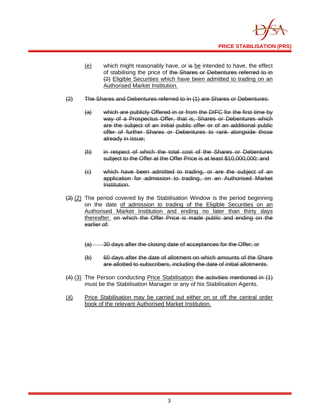

- (e) which might reasonably have, or is be intended to have, the effect of stabilising the price of the Shares or Debentures referred to in (2) Eligible Securities which have been admitted to trading on an Authorised Market Institution.
- (2) The Shares and Debentures referred to in (1) are Shares or Debentures:
	- (a) which are publicly Offered in or from the DIFC for the first time by way of a Prospectus Offer, that is, Shares or Debentures which are the subject of an initial public offer or of an additional public offer of further Shares or Debentures to rank alongside those already in issue;
	- (b) in respect of which the total cost of the Shares or Debentures subject to the Offer at the Offer Price is at least \$10,000,000; and
	- (c) which have been admitted to trading, or are the subject of an application for admission to trading, on an Authorised Market Institution.
- $(3)$  (2) The period covered by the Stabilisation Window is the period beginning on the date of admission to trading of the Eligible Securities on an Authorised Market Institution and ending no later than thirty days thereafter. on which the Offer Price is made public and ending on the earlier of:
	- (a) 30 days after the closing date of acceptances for the Offer; or
	- (b) 60 days after the date of allotment on which amounts of the Share are allotted to subscribers, including the date of initial allotments.
- (4) (3) The Person conducting Price Stabilisation the activities mentioned in (1) must be the Stabilisation Manager or any of his Stabilisation Agents.
- (4) Price Stabilisation may be carried out either on or off the central order book of the relevant Authorised Market Institution.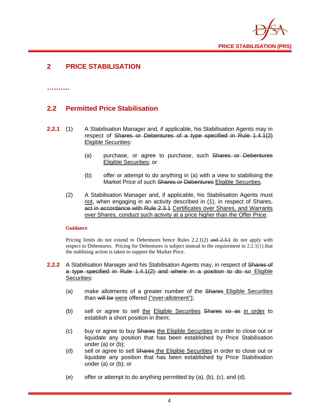

# **2 PRICE STABILISATION**

**……….** 

# **2.2 Permitted Price Stabilisation**

- **2.2.1** (1) A Stabilisation Manager and, if applicable, his Stabilisation Agents may in respect of Shares or Debentures of a type specified in Rule 1.4.1(2) Eligible Securities:
	- (a) purchase, or agree to purchase, such Shares or Debentures Eligible Securities; or
	- (b) offer or attempt to do anything in (a) with a view to stabilising the Market Price of such Shares or Debentures Eligible Securities.
	- (2) A Stabilisation Manager and, if applicable, his Stabilisation Agents must not, when engaging in an activity described in (1), in respect of Shares, act in accordance with Rule 2.3.1 Certificates over Shares, and Warrants over Shares, conduct such activity at a price higher than the Offer Price.

#### **Guidance**

Pricing limits do not extend to Debentures hence Rules  $2.2.1(2)$  and  $2.3.1$  do not apply with respect to Debentures. Pricing for Debentures is subject instead to the requirement in 2.2.1(1) that the stablising action is taken to support the Market Price.

- **2.2.2** A Stabilisation Manager and his Stabilisation Agents may, in respect of Shares of a type specified in Rule 1.4.1(2) and where in a position to do so Eligible Securities:
	- (a) make allotments of a greater number of the Shares Eligible Securities than will be were offered ("over-allotment");
	- (b) sell or agree to sell the Eligible Securities Shares so as in order to establish a short position in them;
	- (c) buy or agree to buy Shares the Eligible Securities in order to close out or liquidate any position that has been established by Price Stabilisation under (a) or (b);
	- (d) sell or agree to sell Shares the Eligible Securities in order to close out or liquidate any position that has been established by Price Stabilisation under (a) or (b); or
	- (e) offer or attempt to do anything permitted by  $(a)$ ,  $(b)$ ,  $(c)$ , and  $(d)$ .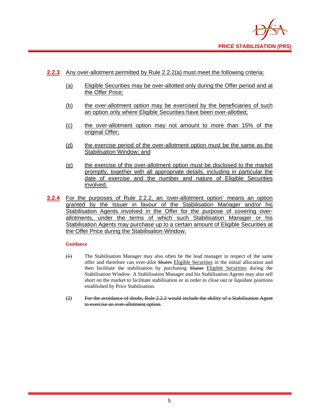

- **2.2.3** Any over-allotment permitted by Rule 2.2.2(a) must meet the following criteria:
	- (a) Eligible Securities may be over-allotted only during the Offer period and at the Offer Price;
	- (b) the over-allotment option may be exercised by the beneficiaries of such an option only where Eligible Securities have been over-allotted;
	- (c) the over-allotment option may not amount to more than 15% of the original Offer;
	- (d) the exercise period of the over-allotment option must be the same as the Stabilisation Window; and
	- (e) the exercise of the over-allotment option must be disclosed to the market promptly, together with all appropriate details, including in particular the date of exercise and the number and nature of Eligible Securities involved.
- **2.2.4** For the purposes of Rule 2.2.2, an 'over-allotment option' means an option granted by the Issuer in favour of the Stabilisation Manager and/or his Stabilisation Agents involved in the Offer for the purpose of covering overallotments, under the terms of which such Stabilisation Manager or his Stabilisation Agents may purchase up to a certain amount of Eligible Securities at the Offer Price during the Stabilisation Window.

- (1) The Stabilisation Manager may also often be the lead manager in respect of the same offer and therefore can over-allot Shares Eligible Securities in the initial allocation and then facilitate the stabilisation by purchasing Shares Eligible Securities during the Stabilisation Window. A Stabilisation Manager and his Stabilisation Agents may also sell short on the market to facilitate stabilisation or in order to close out or liquidate positions established by Price Stabilisation.
- (2) For the avoidance of doubt, Rule 2.2.2 would include the ability of a Stabilisation Agent to exercise an over-allotment option.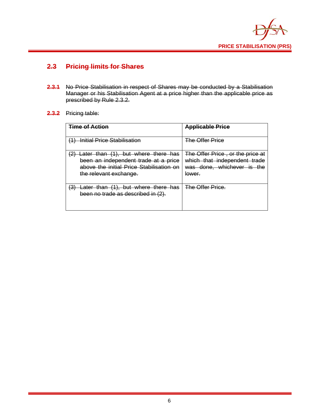

# **2.3 Pricing limits for Shares**

**2.3.1** No Price Stabilisation in respect of Shares may be conducted by a Stabilisation Manager or his Stabilisation Agent at a price higher than the applicable price as prescribed by Rule 2.3.2.

# **2.3.2** Pricing table:

| <b>Time of Action</b>                                                                                                                             | <b>Applicable Price</b>                                                                                  |
|---------------------------------------------------------------------------------------------------------------------------------------------------|----------------------------------------------------------------------------------------------------------|
| <u>Initial Price Stabilisation</u><br>74.                                                                                                         | <b>The Offer Price</b>                                                                                   |
| Later than (1), but where there has<br>been an independent trade at a price<br>above the initial Price Stabilisation on<br>the relevant exchange. | The Offer Price, or the price at<br>which that independent trade<br>was done, whichever is the<br>lower. |
| Later than (1), but where there has<br>宝<br>been no trade as described in (2).                                                                    | <b>The Offer Price.</b>                                                                                  |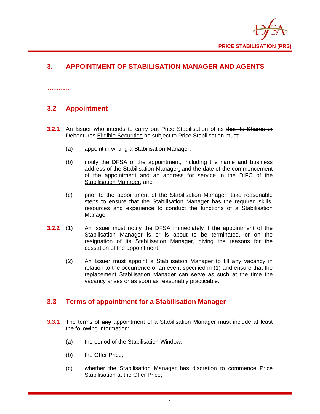

# **3. APPOINTMENT OF STABILISATION MANAGER AND AGENTS**

# **3.2 Appointment**

**……….** 

- **3.2.1** An Issuer who intends to carry out Price Stabilisation of its that its Shares or Debentures Eligible Securities be subject to Price Stabilisation must:
	- (a) appoint in writing a Stabilisation Manager;
	- (b) notify the DFSA of the appointment, including the name and business address of the Stabilisation Manager, and the date of the commencement of the appointment and an address for service in the DIFC of the Stabilisation Manager; and
	- (c) prior to the appointment of the Stabilisation Manager, take reasonable steps to ensure that the Stabilisation Manager has the required skills, resources and experience to conduct the functions of a Stabilisation Manager.
- **3.2.2** (1) An Issuer must notify the DFSA immediately if the appointment of the Stabilisation Manager is or is about to be terminated, or on the resignation of its Stabilisation Manager, giving the reasons for the cessation of the appointment.
	- (2) An Issuer must appoint a Stabilisation Manager to fill any vacancy in relation to the occurrence of an event specified in (1) and ensure that the replacement Stabilisation Manager can serve as such at the time the vacancy arises or as soon as reasonably practicable.

# **3.3 Terms of appointment for a Stabilisation Manager**

- **3.3.1** The terms of any appointment of a Stabilisation Manager must include at least the following information:
	- (a) the period of the Stabilisation Window;
	- (b) the Offer Price;
	- (c) whether the Stabilisation Manager has discretion to commence Price Stabilisation at the Offer Price;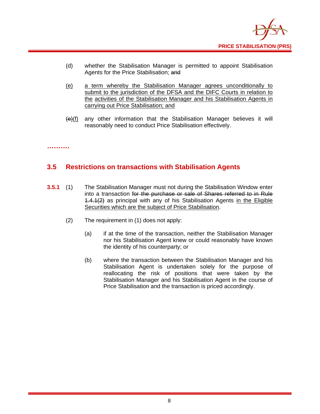

- (d) whether the Stabilisation Manager is permitted to appoint Stabilisation Agents for the Price Stabilisation; and
- (e) a term whereby the Stabilisation Manager agrees unconditionally to submit to the jurisdiction of the DFSA and the DIFC Courts in relation to the activities of the Stabilisation Manager and his Stabilisation Agents in carrying out Price Stabilisation; and
- $(e)(f)$  any other information that the Stabilisation Manager believes it will reasonably need to conduct Price Stabilisation effectively.

#### **……….**

# **3.5 Restrictions on transactions with Stabilisation Agents**

- **3.5.1** (1) The Stabilisation Manager must not during the Stabilisation Window enter into a transaction for the purchase or sale of Shares referred to in Rule 1.4.1(2) as principal with any of his Stabilisation Agents in the Eligible Securities which are the subject of Price Stabilisation.
	- (2) The requirement in (1) does not apply:
		- (a) if at the time of the transaction, neither the Stabilisation Manager nor his Stabilisation Agent knew or could reasonably have known the identity of his counterparty; or
		- (b) where the transaction between the Stabilisation Manager and his Stabilisation Agent is undertaken solely for the purpose of reallocating the risk of positions that were taken by the Stabilisation Manager and his Stabilisation Agent in the course of Price Stabilisation and the transaction is priced accordingly.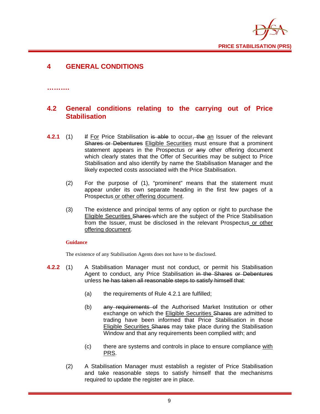

# **4 GENERAL CONDITIONS**

#### **……….**

# **4.2 General conditions relating to the carrying out of Price Stabilisation**

- **4.2.1** (1) If For Price Stabilisation is able to occur, the an Issuer of the relevant Shares or Debentures Eligible Securities must ensure that a prominent statement appears in the Prospectus or any other offering document which clearly states that the Offer of Securities may be subject to Price Stabilisation and also identify by name the Stabilisation Manager and the likely expected costs associated with the Price Stabilisation.
	- (2) For the purpose of (1), "prominent" means that the statement must appear under its own separate heading in the first few pages of a Prospectus or other offering document.
	- (3) The existence and principal terms of any option or right to purchase the Eligible Securities Shares which are the subject of the Price Stabilisation from the Issuer, must be disclosed in the relevant Prospectus or other offering document.

#### **Guidance**

The existence of any Stabilisation Agents does not have to be disclosed.

- **4.2.2** (1) A Stabilisation Manager must not conduct, or permit his Stabilisation Agent to conduct, any Price Stabilisation in the Shares or Debentures unless he has taken all reasonable steps to satisfy himself that:
	- (a) the requirements of Rule 4.2.1 are fulfilled;
	- (b) any requirements of the Authorised Market Institution or other exchange on which the Eligible Securities Shares are admitted to trading have been informed that Price Stabilisation in those Eligible Securities Shares may take place during the Stabilisation Window and that any requirements been complied with; and
	- (c) there are systems and controls in place to ensure compliance with PRS.
	- (2) A Stabilisation Manager must establish a register of Price Stabilisation and take reasonable steps to satisfy himself that the mechanisms required to update the register are in place.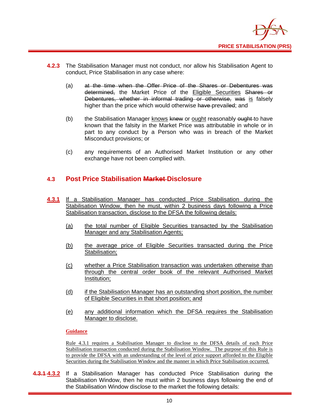

- **4.2.3** The Stabilisation Manager must not conduct, nor allow his Stabilisation Agent to conduct, Price Stabilisation in any case where:
	- (a) at the time when the Offer Price of the Shares or Debentures was determined, the Market Price of the Eligible Securities Shares or Debentures, whether in informal trading or otherwise, was is falsely higher than the price which would otherwise have prevailed; and
	- (b) the Stabilisation Manager knows  $k$ new or ought reasonably  $\theta$ ught to have known that the falsity in the Market Price was attributable in whole or in part to any conduct by a Person who was in breach of the Market Misconduct provisions; or
	- (c) any requirements of an Authorised Market Institution or any other exchange have not been complied with.

# **4.3 Post Price Stabilisation Market Disclosure**

- **4.3.1** If a Stabilisation Manager has conducted Price Stabilisation during the Stabilisation Window, then he must, within 2 business days following a Price Stabilisation transaction, disclose to the DFSA the following details:
	- (a) the total number of Eligible Securities transacted by the Stabilisation Manager and any Stabilisation Agents;
	- (b) the average price of Eligible Securities transacted during the Price Stabilisation;
	- (c) whether a Price Stabilisation transaction was undertaken otherwise than through the central order book of the relevant Authorised Market Institution;
	- (d) if the Stabilisation Manager has an outstanding short position, the number of Eligible Securities in that short position; and
	- (e) any additional information which the DFSA requires the Stabilisation Manager to disclose.

#### **Guidance**

Rule 4.3.1 requires a Stabilisation Manager to disclose to the DFSA details of each Price Stabilisation transaction conducted during the Stabilisation Window. The purpose of this Rule is to provide the DFSA with an understanding of the level of price support afforded to the Eligible Securities during the Stabilisation Window and the manner in which Price Stabilisation occurred.

**4.3.1 4.3.2** If a Stabilisation Manager has conducted Price Stabilisation during the Stabilisation Window, then he must within 2 business days following the end of the Stabilisation Window disclose to the market the following details: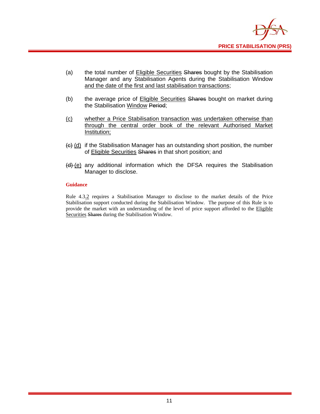

- (a) the total number of Eligible Securities Shares bought by the Stabilisation Manager and any Stabilisation Agents during the Stabilisation Window and the date of the first and last stabilisation transactions;
- (b) the average price of Eligible Securities Shares bought on market during the Stabilisation Window Period;
- (c) whether a Price Stabilisation transaction was undertaken otherwise than through the central order book of the relevant Authorised Market Institution;
- $\left\{ \Theta \right\}$  (d) if the Stabilisation Manager has an outstanding short position, the number of Eligible Securities Shares in that short position; and
- $(d)$  (e) any additional information which the DFSA requires the Stabilisation Manager to disclose.

Rule 4.3.2 requires a Stabilisation Manager to disclose to the market details of the Price Stabilisation support conducted during the Stabilisation Window. The purpose of this Rule is to provide the market with an understanding of the level of price support afforded to the Eligible Securities Shares during the Stabilisation Window.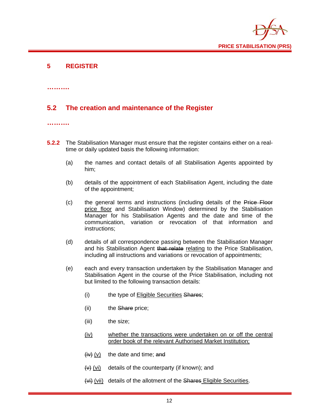

# **5 REGISTER**

**……….** 

# **5.2 The creation and maintenance of the Register**

#### **……….**

- **5.2.2** The Stabilisation Manager must ensure that the register contains either on a realtime or daily updated basis the following information:
	- (a) the names and contact details of all Stabilisation Agents appointed by him;
	- (b) details of the appointment of each Stabilisation Agent, including the date of the appointment;
	- (c) the general terms and instructions (including details of the Price Floor price floor and Stabilisation Window) determined by the Stabilisation Manager for his Stabilisation Agents and the date and time of the communication, variation or revocation of that information and instructions;
	- (d) details of all correspondence passing between the Stabilisation Manager and his Stabilisation Agent that relate relating to the Price Stabilisation, including all instructions and variations or revocation of appointments;
	- (e) each and every transaction undertaken by the Stabilisation Manager and Stabilisation Agent in the course of the Price Stabilisation, including not but limited to the following transaction details:
		- (i) the type of Eligible Securities Shares;
		- (ii) the Share price;
		- (iii) the size;
		- (iv) whether the transactions were undertaken on or off the central order book of the relevant Authorised Market Institution;
		- $(iv)$  (v) the date and time; and
		- $(v)$  (vi) details of the counterparty (if known); and
		- (vi) (vii) details of the allotment of the Shares Eligible Securities.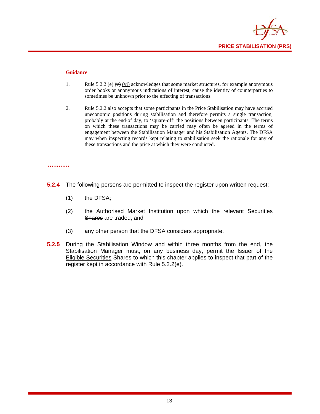

- 1. Rule 5.2.2 (e)  $\leftrightarrow$  (vi) acknowledges that some market structures, for example anonymous order books or anonymous indications of interest, cause the identity of counterparties to sometimes be unknown prior to the effecting of transactions.
- 2. Rule 5.2.2 also accepts that some participants in the Price Stabilisation may have accrued uneconomic positions during stabilisation and therefore permits a single transaction, probably at the end-of day, to 'square-off' the positions between participants. The terms on which these transactions may be carried may often be agreed in the terms of engagement between the Stabilisation Manager and his Stabilisation Agents. The DFSA may when inspecting records kept relating to stabilisation seek the rationale for any of these transactions and the price at which they were conducted.

#### **……….**

- **5.2.4** The following persons are permitted to inspect the register upon written request:
	- (1) the DFSA;
	- (2) the Authorised Market Institution upon which the relevant Securities Shares are traded; and
	- (3) any other person that the DFSA considers appropriate.
- **5.2.5** During the Stabilisation Window and within three months from the end, the Stabilisation Manager must, on any business day, permit the Issuer of the Eligible Securities Shares to which this chapter applies to inspect that part of the register kept in accordance with Rule 5.2.2(e).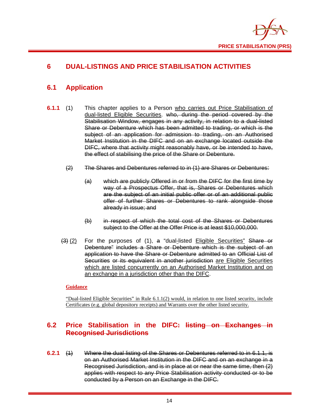

# **6 DUAL-LISTINGS AND PRICE STABILISATION ACTIVITIES**

# **6.1 Application**

- **6.1.1** (1) This chapter applies to a Person who carries out Price Stabilisation of dual-listed Eligible Securities. who, during the period covered by the Stabilisation Window, engages in any activity, in relation to a dual-listed Share or Debenture which has been admitted to trading, or which is the subject of an application for admission to trading, on an Authorised Market Institution in the DIFC and on an exchange located outside the DIFC, where that activity might reasonably have, or be intended to have, the effect of stabilising the price of the Share or Debenture.
	- (2) The Shares and Debentures referred to in (1) are Shares or Debentures:
		- (a) which are publicly Offered in or from the DIFC for the first time by way of a Prospectus Offer, that is, Shares or Debentures which are the subject of an initial public offer or of an additional public offer of further Shares or Debentures to rank alongside those already in issue; and
		- (b) in respect of which the total cost of the Shares or Debentures subject to the Offer at the Offer Price is at least \$10,000,000.
	- $(3)$  (2) For the purposes of (1), a "dual-listed Eligible Securities" Share or Debenture" includes a Share or Debenture which is the subject of an application to have the Share or Debenture admitted to an Official List of Securities or its equivalent in another jurisdiction are Eligible Securities which are listed concurrently on an Authorised Market Institution and on an exchange in a jurisdiction other than the DIFC.

#### **Guidance**

"Dual-listed Eligible Securities" in Rule 6.1.1(2) would, in relation to one listed security, include Certificates (e.g. global depository receipts) and Warrants over the other listed security.

# **6.2 Price Stabilisation in the DIFC: listing on Exchanges in Recognised Jurisdictions**

**6.2.1** (1) Where the dual listing of the Shares or Debentures referred to in 6.1.1, is on an Authorised Market Institution in the DIFC and on an exchange in a Recognised Jurisdiction, and is in place at or near the same time, then (2) applies with respect to any Price Stabilisation activity conducted or to be conducted by a Person on an Exchange in the DIFC.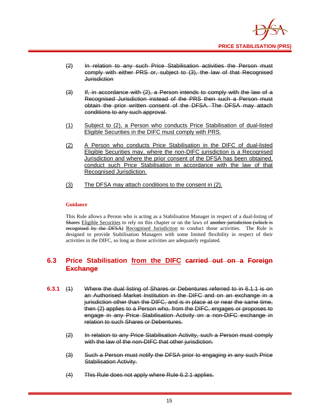

- (2) In relation to any such Price Stabilisation activities the Person must comply with either PRS or, subject to (3), the law of that Recognised **Jurisdiction**
- (3) If, in accordance with (2), a Person intends to comply with the law of a Recognised Jurisdiction instead of the PRS then such a Person must obtain the prior written consent of the DFSA. The DFSA may attach conditions to any such approval.
- (1) Subject to (2), a Person who conducts Price Stabilisation of dual-listed Eligible Securities in the DIFC must comply with PRS.
- (2) A Person who conducts Price Stabilisation in the DIFC of dual-listed Eligible Securities may, where the non-DIFC jurisdiction is a Recognised Jurisdiction and where the prior consent of the DFSA has been obtained, conduct such Price Stabilisation in accordance with the law of that Recognised Jurisdiction.
- (3) The DFSA may attach conditions to the consent in (2).

This Rule allows a Person who is acting as a Stabilisation Manager in respect of a dual-listing of Shares Eligible Securities to rely on this chapter or on the laws of another jurisdiction (which is recognised by the DFSA) Recognised Jurisdiction to conduct those activities. The Rule is designed to provide Stabilisation Managers with some limited flexibility in respect of their activities in the DIFC, so long as those activities are adequately regulated.

# **6.3 Price Stabilisation from the DIFC carried out on a Foreign Exchange**

- **6.3.1** (1) Where the dual listing of Shares or Debentures referred to in 6.1.1 is on an Authorised Market Institution in the DIFC and on an exchange in a jurisdiction other than the DIFC, and is in place at or near the same time, then (2) applies to a Person who, from the DIFC, engages or proposes to engage in any Price Stabilisation Activity on a non-DIFC exchange in relation to such Shares or Debentures.
	- (2) In relation to any Price Stabilisation Activity, such a Person must comply with the law of the non-DIFC that other jurisdiction.
	- (3) Such a Person must notify the DFSA prior to engaging in any such Price Stabilisation Activity.
	- (4) This Rule does not apply where Rule 6.2.1 applies.